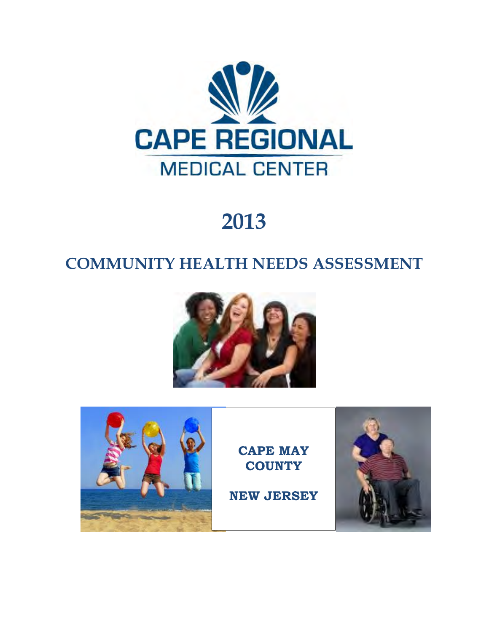

# **2013**

# **COMMUNITY HEALTH NEEDS ASSESSMENT**





**CAPE MAY COUNTY** 

**NEW JERSEY** 

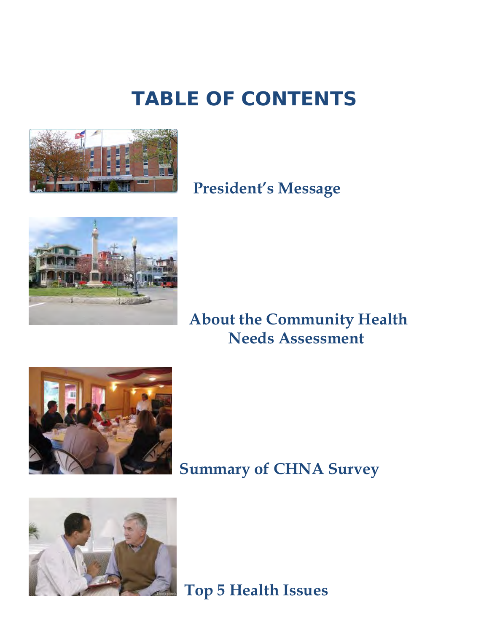# **TABLE OF CONTENTS**



# **President's Message**



## **About the Community Health Needs Assessment**



# **Summary of CHNA Survey**



 **Top 5 Health Issues**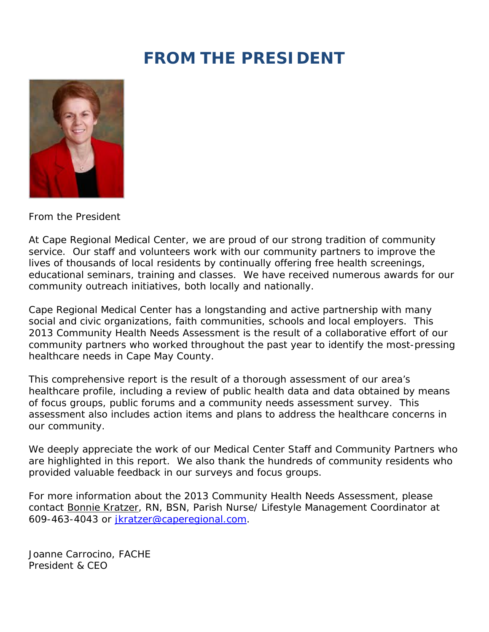# **FROM THE PRESIDENT**



From the President

At Cape Regional Medical Center, we are proud of our strong tradition of community service. Our staff and volunteers work with our community partners to improve the lives of thousands of local residents by continually offering free health screenings, educational seminars, training and classes. We have received numerous awards for our community outreach initiatives, both locally and nationally.

Cape Regional Medical Center has a longstanding and active partnership with many social and civic organizations, faith communities, schools and local employers. This 2013 Community Health Needs Assessment is the result of a collaborative effort of our community partners who worked throughout the past year to identify the most-pressing healthcare needs in Cape May County.

This comprehensive report is the result of a thorough assessment of our area's healthcare profile, including a review of public health data and data obtained by means of focus groups, public forums and a community needs assessment survey. This assessment also includes action items and plans to address the healthcare concerns in our community.

We deeply appreciate the work of our Medical Center Staff and Community Partners who are highlighted in this report. We also thank the hundreds of community residents who provided valuable feedback in our surveys and focus groups.

For more information about the 2013 Community Health Needs Assessment, please contact Bonnie Kratzer, RN, BSN, Parish Nurse/ Lifestyle Management Coordinator at 609-463-4043 or jkratzer@caperegional.com.

Joanne Carrocino, FACHE President & CEO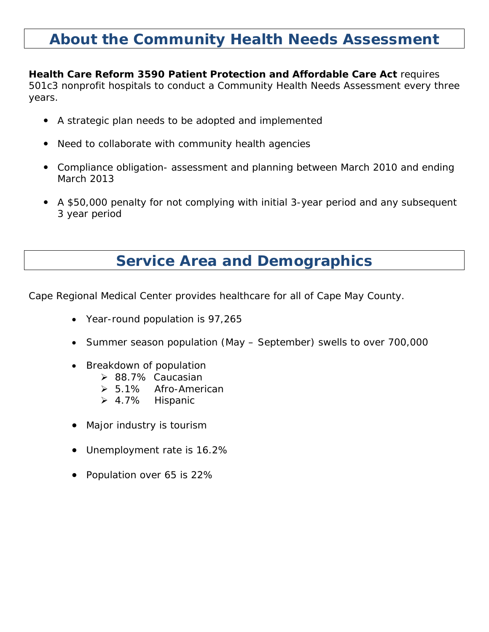### **About the Community Health Needs Assessment**

**Health Care Reform 3590 Patient Protection and Affordable Care Act** requires 501c3 nonprofit hospitals to conduct a Community Health Needs Assessment every three years.

- A strategic plan needs to be adopted and implemented
- Need to collaborate with community health agencies
- Compliance obligation- assessment and planning between March 2010 and ending March 2013
- A \$50,000 penalty for not complying with initial 3-year period and any subsequent 3 year period

### **Service Area and Demographics**

Cape Regional Medical Center provides healthcare for all of Cape May County.

- Year-round population is 97,265
- Summer season population (May September) swells to over 700,000
- Breakdown of population
	- ▶ 88.7% Caucasian
	- ▶ 5.1% Afro-American
	- 4.7% Hispanic
- Major industry is tourism
- Unemployment rate is 16.2%
- Population over 65 is 22%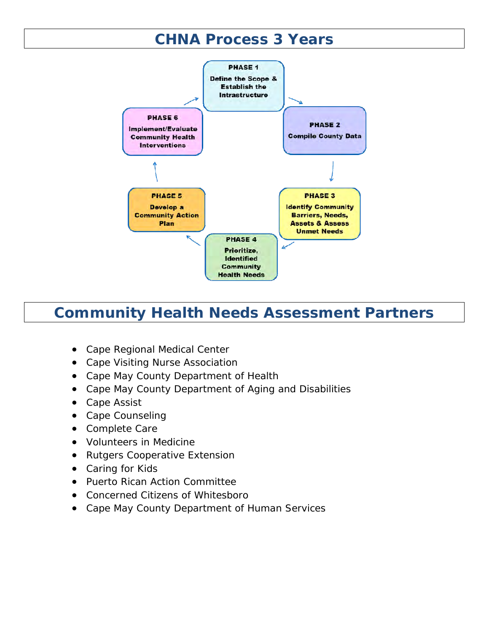### **CHNA Process 3 Years**



### **Community Health Needs Assessment Partners**

- Cape Regional Medical Center
- Cape Visiting Nurse Association
- Cape May County Department of Health
- Cape May County Department of Aging and Disabilities
- Cape Assist
- Cape Counseling
- Complete Care
- Volunteers in Medicine
- Rutgers Cooperative Extension
- Caring for Kids
- Puerto Rican Action Committee
- Concerned Citizens of Whitesboro
- Cape May County Department of Human Services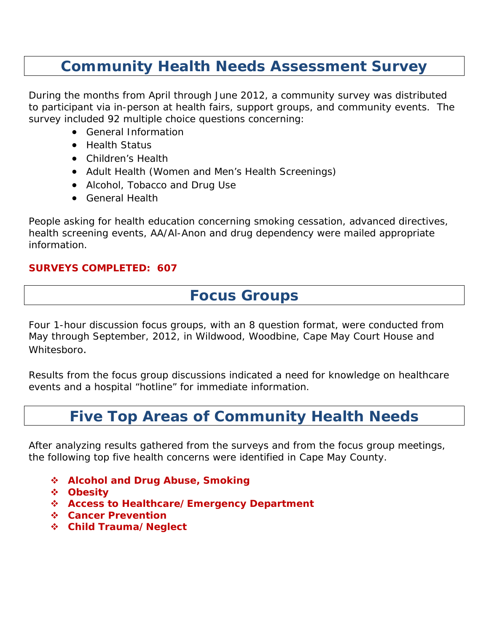### **Community Health Needs Assessment Survey**

During the months from April through June 2012, a community survey was distributed to participant via in-person at health fairs, support groups, and community events. The survey included 92 multiple choice questions concerning:

- General Information
- **•** Health Status
- Children's Health
- Adult Health (Women and Men's Health Screenings)
- Alcohol, Tobacco and Drug Use
- General Health

People asking for health education concerning smoking cessation, advanced directives, health screening events, AA/Al-Anon and drug dependency were mailed appropriate information.

#### **SURVEYS COMPLETED: 607**

### **Focus Groups**

Four 1-hour discussion focus groups, with an 8 question format, were conducted from May through September, 2012, in Wildwood, Woodbine, Cape May Court House and Whitesboro.

Results from the focus group discussions indicated a need for knowledge on healthcare events and a hospital "hotline" for immediate information.

### **Five Top Areas of Community Health Needs**

After analyzing results gathered from the surveys and from the focus group meetings, the following top five health concerns were identified in Cape May County.

- **Alcohol and Drug Abuse, Smoking**
- **Obesity**
- **Access to Healthcare/Emergency Department**
- **Cancer Prevention**
- **Child Trauma/Neglect**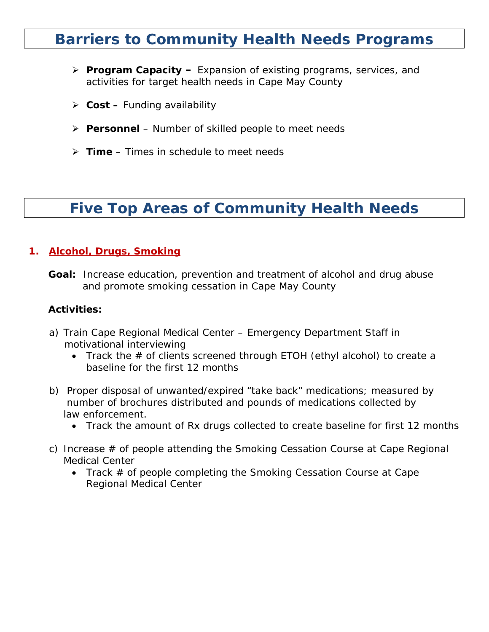### **Barriers to Community Health Needs Programs**

- **Program Capacity** Expansion of existing programs, services, and activities for target health needs in Cape May County
- **Cost** Funding availability
- **Personnel**  Number of skilled people to meet needs
- **Time**  Times in schedule to meet needs

### **Five Top Areas of Community Health Needs**

#### **1. Alcohol, Drugs, Smoking**

 **Goal:** Increase education, prevention and treatment of alcohol and drug abuse and promote smoking cessation in Cape May County

#### **Activities:**

- a) Train Cape Regional Medical Center Emergency Department Staff in motivational interviewing
	- *Track the # of clients screened through ETOH (ethyl alcohol) to create a baseline for the first 12 months*
- b) Proper disposal of unwanted/expired "take back" medications; measured by number of brochures distributed and pounds of medications collected by law enforcement.
	- *Track the amount of Rx drugs collected to create baseline for first 12 months*
- c) Increase # of people attending the Smoking Cessation Course at Cape Regional Medical Center
	- T*rack # of people completing the Smoking Cessation Course at Cape Regional Medical Center*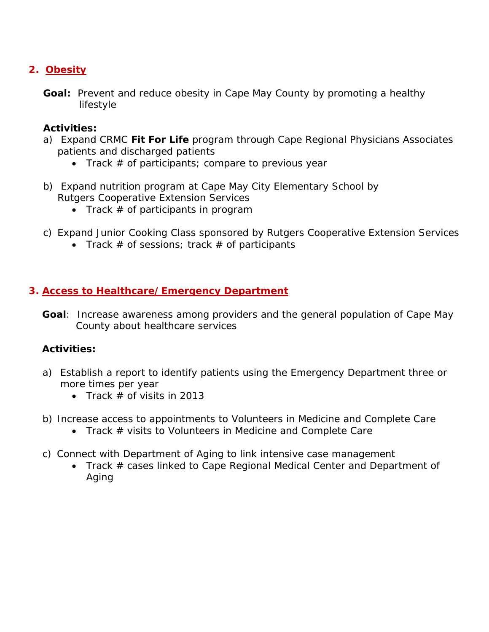### **2. Obesity**

**Goal:** Prevent and reduce obesity in Cape May County by promoting a healthy lifestyle

### **Activities:**

- a) Expand CRMC **Fit For Life** program through Cape Regional Physicians Associates patients and discharged patients
	- *Track # of participants; compare to previous year*
- b) Expand nutrition program at Cape May City Elementary School by Rutgers Cooperative Extension Services
	- *Track # of participants in program*
- c) Expand Junior Cooking Class sponsored by Rutgers Cooperative Extension Services
	- *Track # of sessions; track # of participants*

#### **3. Access to Healthcare/Emergency Department**

 **Goal**: Increase awareness among providers and the general population of Cape May County about healthcare services

### **Activities:**

- a) Establish a report to identify patients using the Emergency Department three or more times per year
	- *Track # of visits in 2013*
- b) Increase access to appointments to Volunteers in Medicine and Complete Care
	- *Track # visits to Volunteers in Medicine and Complete Care*
- c) Connect with Department of Aging to link intensive case management
	- *Track # cases linked to Cape Regional Medical Center and Department of Aging*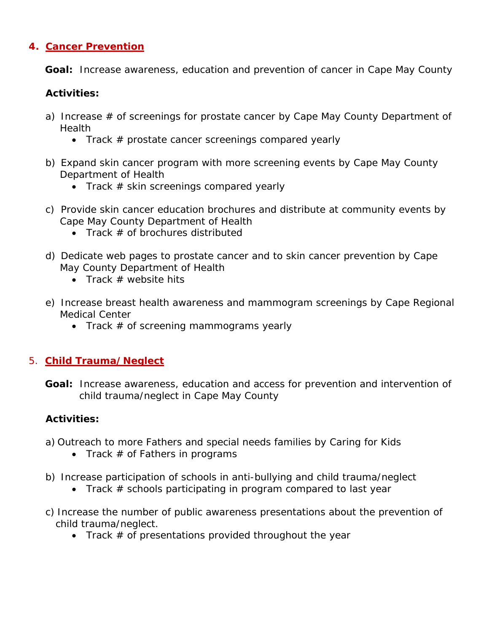#### **4. Cancer Prevention**

 **Goal:** Increase awareness, education and prevention of cancer in Cape May County

#### **Activities:**

- a) Increase # of screenings for prostate cancer by Cape May County Department of **Health** 
	- *Track # prostate cancer screenings compared yearly*
- b) Expand skin cancer program with more screening events by Cape May County Department of Health
	- *Track # skin screenings compared yearly*
- c) Provide skin cancer education brochures and distribute at community events by Cape May County Department of Health
	- *Track # of brochures distributed*
- d) Dedicate web pages to prostate cancer and to skin cancer prevention by Cape May County Department of Health
	- *Track # website hits*
- e) Increase breast health awareness and mammogram screenings by Cape Regional Medical Center
	- *Track # of screening mammograms yearly*

#### 5. **Child Trauma/Neglect**

 **Goal:** Increase awareness, education and access for prevention and intervention of child trauma/neglect in Cape May County

#### **Activities:**

- a) Outreach to more Fathers and special needs families by Caring for Kids
	- *Track # of Fathers in programs*
- b) Increase participation of schools in anti-bullying and child trauma/neglect
	- *Track # schools participating in program compared to last year*
- c) Increase the number of public awareness presentations about the prevention of child trauma/neglect.
	- *Track # of presentations provided throughout the year*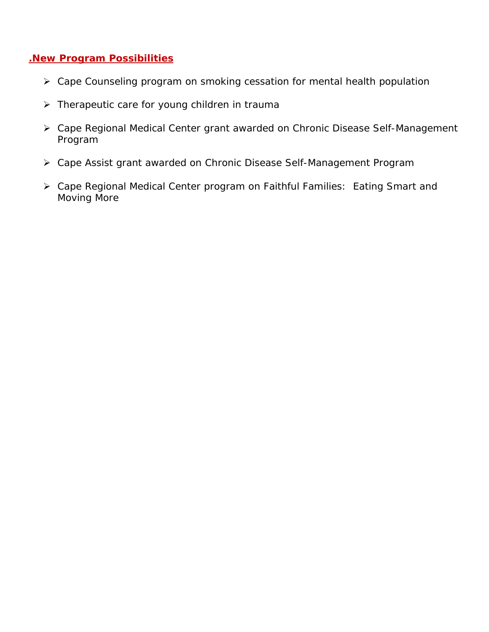#### **.New Program Possibilities**

- Cape Counseling program on smoking cessation for mental health population
- $\triangleright$  Therapeutic care for young children in trauma
- Cape Regional Medical Center grant awarded on Chronic Disease Self-Management Program
- Cape Assist grant awarded on Chronic Disease Self-Management Program
- Cape Regional Medical Center program on Faithful Families: Eating Smart and Moving More